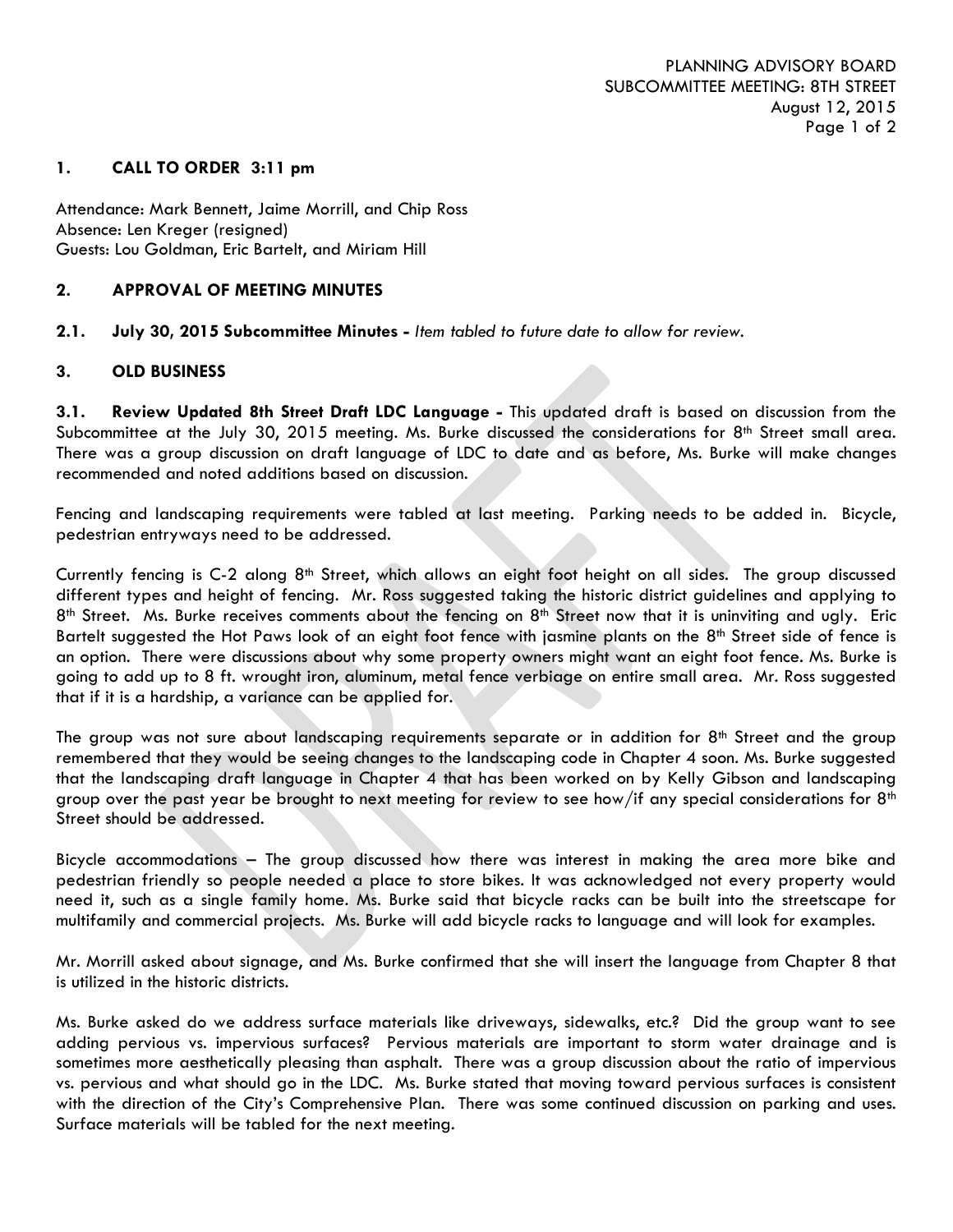## **1. CALL TO ORDER 3:11 pm**

Attendance: Mark Bennett, Jaime Morrill, and Chip Ross Absence: Len Kreger (resigned) Guests: Lou Goldman, Eric Bartelt, and Miriam Hill

#### **2. APPROVAL OF MEETING MINUTES**

**2.1. July 30, 2015 Subcommittee Minutes -** *Item tabled to future date to allow for review.* 

## **3. OLD BUSINESS**

**3.1. Review Updated 8th Street Draft LDC Language -** This updated draft is based on discussion from the Subcommittee at the July 30, 2015 meeting. Ms. Burke discussed the considerations for  $8<sup>th</sup>$  Street small area. There was a group discussion on draft language of LDC to date and as before, Ms. Burke will make changes recommended and noted additions based on discussion.

Fencing and landscaping requirements were tabled at last meeting. Parking needs to be added in. Bicycle, pedestrian entryways need to be addressed.

Currently fencing is C-2 along 8<sup>th</sup> Street, which allows an eight foot height on all sides. The group discussed different types and height of fencing. Mr. Ross suggested taking the historic district guidelines and applying to  $8<sup>th</sup>$  Street. Ms. Burke receives comments about the fencing on  $8<sup>th</sup>$  Street now that it is uninviting and ugly. Eric Bartelt suggested the Hot Paws look of an eight foot fence with jasmine plants on the 8<sup>th</sup> Street side of fence is an option. There were discussions about why some property owners might want an eight foot fence. Ms. Burke is going to add up to 8 ft. wrought iron, aluminum, metal fence verbiage on entire small area. Mr. Ross suggested that if it is a hardship, a variance can be applied for.

The group was not sure about landscaping requirements separate or in addition for  $8<sup>th</sup>$  Street and the group remembered that they would be seeing changes to the landscaping code in Chapter 4 soon. Ms. Burke suggested that the landscaping draft language in Chapter 4 that has been worked on by Kelly Gibson and landscaping group over the past year be brought to next meeting for review to see how/if any special considerations for  $8<sup>th</sup>$ Street should be addressed.

Bicycle accommodations – The group discussed how there was interest in making the area more bike and pedestrian friendly so people needed a place to store bikes. It was acknowledged not every property would need it, such as a single family home. Ms. Burke said that bicycle racks can be built into the streetscape for multifamily and commercial projects. Ms. Burke will add bicycle racks to language and will look for examples.

Mr. Morrill asked about signage, and Ms. Burke confirmed that she will insert the language from Chapter 8 that is utilized in the historic districts.

Ms. Burke asked do we address surface materials like driveways, sidewalks, etc.? Did the group want to see adding pervious vs. impervious surfaces? Pervious materials are important to storm water drainage and is sometimes more aesthetically pleasing than asphalt. There was a group discussion about the ratio of impervious vs. pervious and what should go in the LDC. Ms. Burke stated that moving toward pervious surfaces is consistent with the direction of the City's Comprehensive Plan. There was some continued discussion on parking and uses. Surface materials will be tabled for the next meeting.